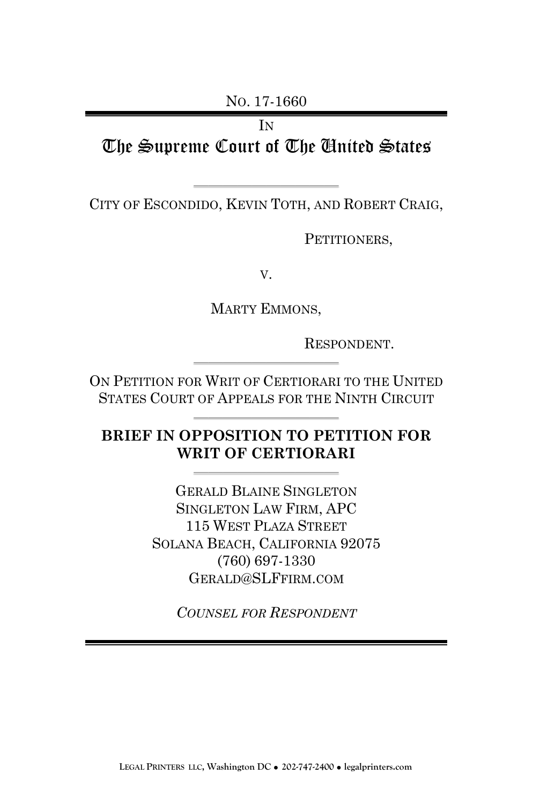NO. 17-1660

**IN** The Supreme Court of The United States

—————————— CITY OF ESCONDIDO, KEVIN TOTH, AND ROBERT CRAIG,

PETITIONERS,

V.

MARTY EMMONS,

RESPONDENT.

ON PETITION FOR WRIT OF CERTIORARI TO THE UNITED STATES COURT OF APPEALS FOR THE NINTH CIRCUIT

——————————

**BRIEF IN OPPOSITION TO PETITION FOR WRIT OF CERTIORARI**

——————————

——————————

GERALD BLAINE SINGLETON SINGLETON LAW FIRM, APC 115 WEST PLAZA STREET SOLANA BEACH, CALIFORNIA 92075 (760) 697-1330 GERALD@SLFFIRM.COM

*COUNSEL FOR RESPONDENT*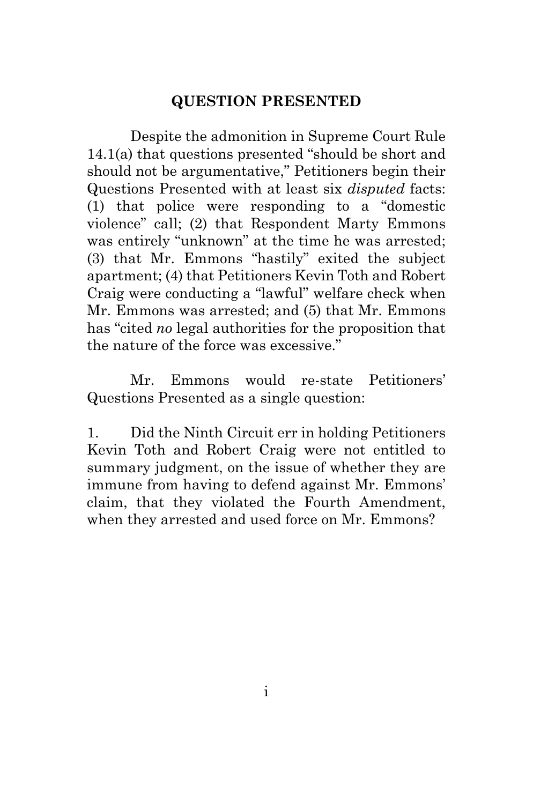### **QUESTION PRESENTED**

<span id="page-1-0"></span>Despite the admonition in Supreme Court Rule 14.1(a) that questions presented "should be short and should not be argumentative," Petitioners begin their Questions Presented with at least six *disputed* facts: (1) that police were responding to a "domestic violence" call; (2) that Respondent Marty Emmons was entirely "unknown" at the time he was arrested; (3) that Mr. Emmons "hastily" exited the subject apartment; (4) that Petitioners Kevin Toth and Robert Craig were conducting a "lawful" welfare check when Mr. Emmons was arrested; and (5) that Mr. Emmons has "cited *no* legal authorities for the proposition that the nature of the force was excessive."

Mr. Emmons would re-state Petitioners' Questions Presented as a single question:

1. Did the Ninth Circuit err in holding Petitioners Kevin Toth and Robert Craig were not entitled to summary judgment, on the issue of whether they are immune from having to defend against Mr. Emmons' claim, that they violated the Fourth Amendment, when they arrested and used force on Mr. Emmons?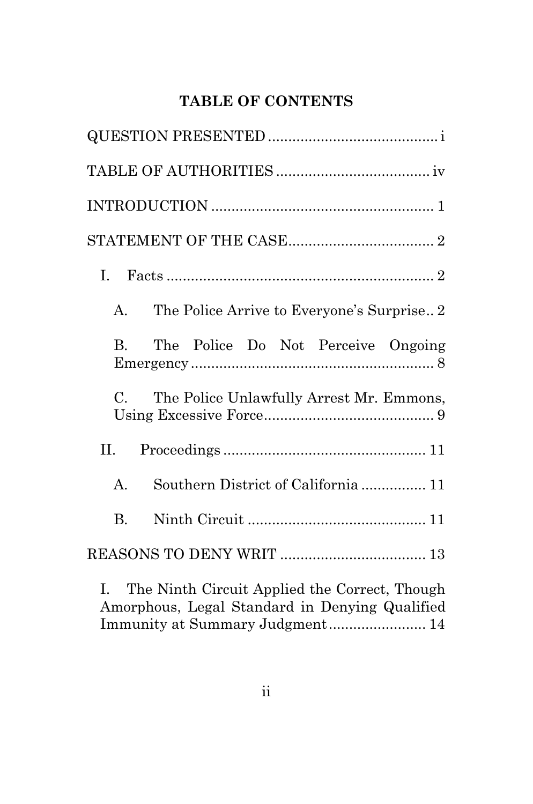# **TABLE OF CONTENTS**

| The Police Arrive to Everyone's Surprise2<br>A.         |
|---------------------------------------------------------|
| The Police Do Not Perceive Ongoing<br>$\mathbf{B}$      |
| $C_{\cdot}$<br>The Police Unlawfully Arrest Mr. Emmons, |
| II.                                                     |
| $A_{-}$<br>Southern District of California 11           |
| $\mathbf{B}$                                            |
|                                                         |

I. [The Ninth Circuit Applied the Correct, Though](#page-18-0)  [Amorphous, Legal Standard in Denying Qualified](#page-18-0)  [Immunity at Summary Judgment........................](#page-18-0) 14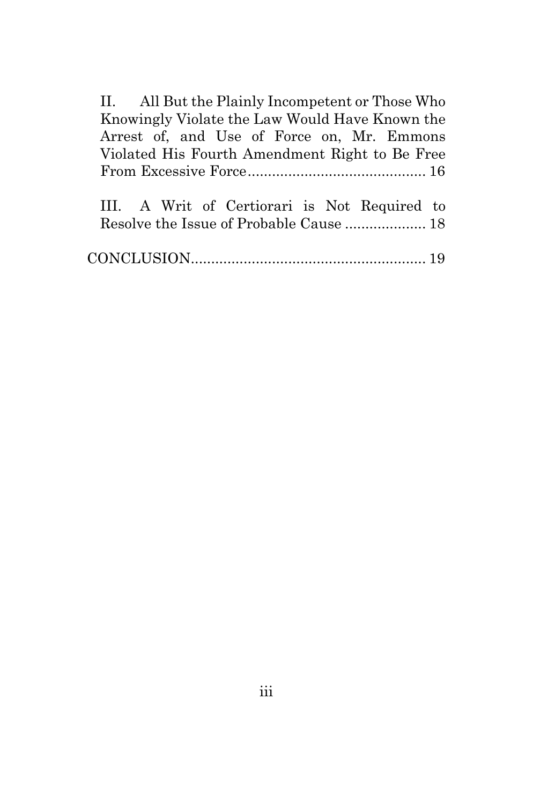II. [All But the Plainly Incompetent or Those Who](#page-20-0)  [Knowingly Violate the Law Would Have Known the](#page-20-0)  [Arrest of, and Use of Force on, Mr. Emmons](#page-20-0)  [Violated His Fourth Amendment Right to Be Free](#page-20-0)  [From Excessive Force............................................](#page-20-0) 16

|  | III. A Writ of Certiorari is Not Required to |  |  |
|--|----------------------------------------------|--|--|
|  |                                              |  |  |

<span id="page-3-0"></span>

|--|--|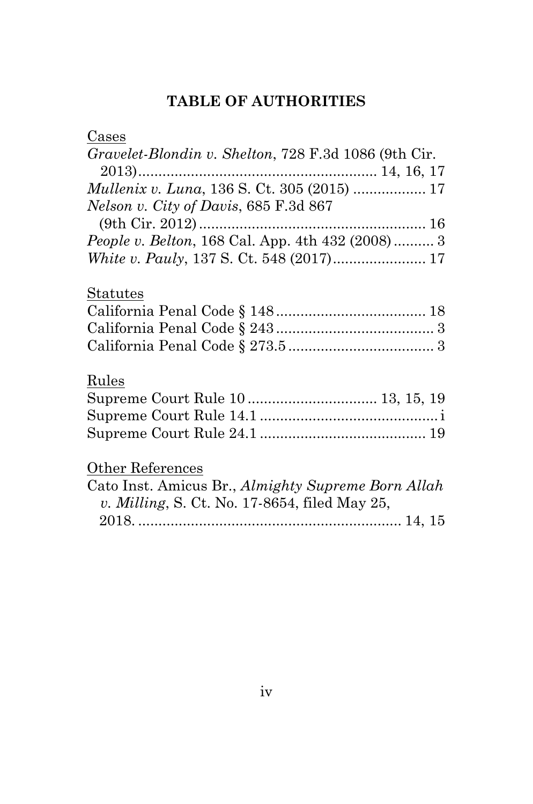# **TABLE OF AUTHORITIES**

| Cases                                                    |
|----------------------------------------------------------|
| Gravelet-Blondin v. Shelton, 728 F.3d 1086 (9th Cir.     |
|                                                          |
| Mullenix v. Luna, 136 S. Ct. 305 (2015)  17              |
| <i>Nelson v. City of Davis, 685 F.3d 867</i>             |
|                                                          |
| <i>People v. Belton</i> , 168 Cal. App. 4th 432 (2008) 3 |
|                                                          |
| Statutes                                                 |
|                                                          |
|                                                          |
|                                                          |
| Rules                                                    |
| Supreme Court Rule 10  13, 15, 19                        |
|                                                          |
|                                                          |
| Other References                                         |
| Cato Inst. Amicus Br., Almighty Supreme Born Allah       |
| v. Milling, S. Ct. No. 17-8654, filed May 25,            |
|                                                          |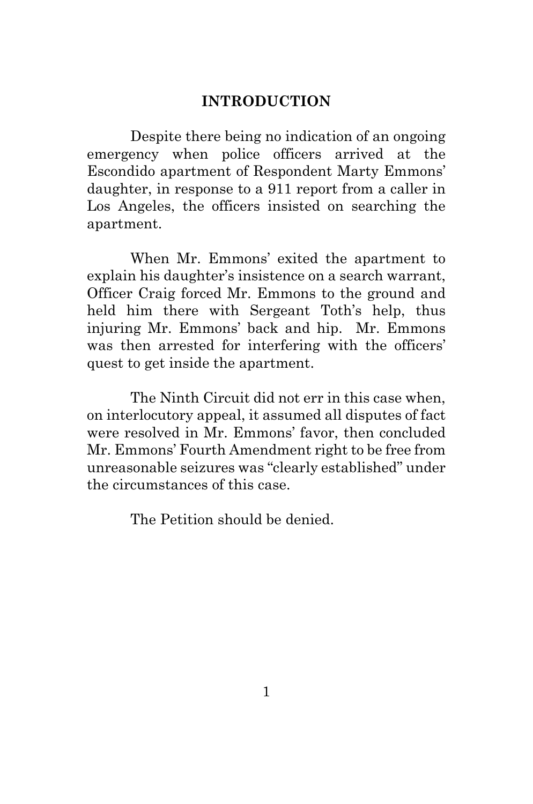#### **INTRODUCTION**

<span id="page-5-0"></span>Despite there being no indication of an ongoing emergency when police officers arrived at the Escondido apartment of Respondent Marty Emmons' daughter, in response to a 911 report from a caller in Los Angeles, the officers insisted on searching the apartment.

When Mr. Emmons' exited the apartment to explain his daughter's insistence on a search warrant, Officer Craig forced Mr. Emmons to the ground and held him there with Sergeant Toth's help, thus injuring Mr. Emmons' back and hip. Mr. Emmons was then arrested for interfering with the officers' quest to get inside the apartment.

The Ninth Circuit did not err in this case when, on interlocutory appeal, it assumed all disputes of fact were resolved in Mr. Emmons' favor, then concluded Mr. Emmons' Fourth Amendment right to be free from unreasonable seizures was "clearly established" under the circumstances of this case.

The Petition should be denied.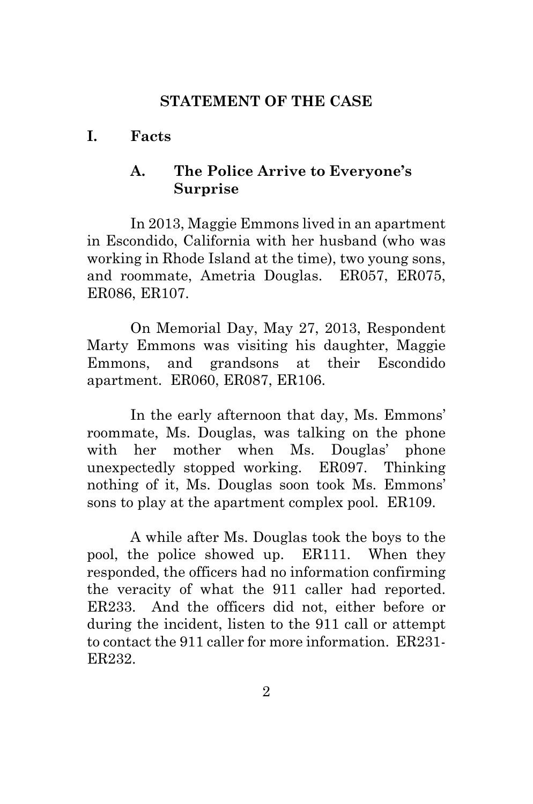#### **STATEMENT OF THE CASE**

### <span id="page-6-2"></span><span id="page-6-1"></span><span id="page-6-0"></span>**I. Facts**

## **A. The Police Arrive to Everyone's Surprise**

In 2013, Maggie Emmons lived in an apartment in Escondido, California with her husband (who was working in Rhode Island at the time), two young sons, and roommate, Ametria Douglas. ER057, ER075, ER086, ER107.

On Memorial Day, May 27, 2013, Respondent Marty Emmons was visiting his daughter, Maggie Emmons, and grandsons at their Escondido apartment. ER060, ER087, ER106.

In the early afternoon that day, Ms. Emmons' roommate, Ms. Douglas, was talking on the phone with her mother when Ms. Douglas' phone unexpectedly stopped working. ER097. Thinking nothing of it, Ms. Douglas soon took Ms. Emmons' sons to play at the apartment complex pool. ER109.

A while after Ms. Douglas took the boys to the pool, the police showed up. ER111. When they responded, the officers had no information confirming the veracity of what the 911 caller had reported. ER233. And the officers did not, either before or during the incident, listen to the 911 call or attempt to contact the 911 caller for more information. ER231- ER232.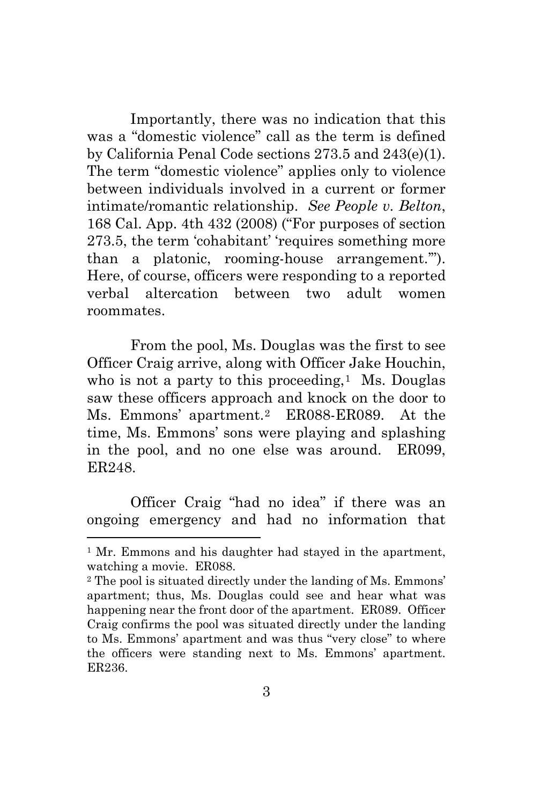Importantly, there was no indication that this was a "domestic violence" call as the term is defined by California Penal Code sections 273.5 and 243(e)(1). The term "domestic violence" applies only to violence between individuals involved in a current or former intimate/romantic relationship. *See People v. Belton*, 168 Cal. App. 4th 432 (2008) ("For purposes of section 273.5, the term 'cohabitant' 'requires something more than a platonic, rooming-house arrangement.'"). Here, of course, officers were responding to a reported verbal altercation between two adult women roommates.

From the pool, Ms. Douglas was the first to see Officer Craig arrive, along with Officer Jake Houchin, who is not a party to this proceeding, $<sup>1</sup>$  $<sup>1</sup>$  $<sup>1</sup>$  Ms. Douglas</sup> saw these officers approach and knock on the door to Ms. Emmons' apartment.[2](#page-7-1) ER088-ER089. At the time, Ms. Emmons' sons were playing and splashing in the pool, and no one else was around. ER099, ER248.

Officer Craig "had no idea" if there was an ongoing emergency and had no information that

 $\overline{\phantom{a}}$ 

<span id="page-7-0"></span><sup>&</sup>lt;sup>1</sup> Mr. Emmons and his daughter had stayed in the apartment, watching a movie. ER088.

<span id="page-7-1"></span><sup>2</sup> The pool is situated directly under the landing of Ms. Emmons' apartment; thus, Ms. Douglas could see and hear what was happening near the front door of the apartment. ER089. Officer Craig confirms the pool was situated directly under the landing to Ms. Emmons' apartment and was thus "very close" to where the officers were standing next to Ms. Emmons' apartment. ER236.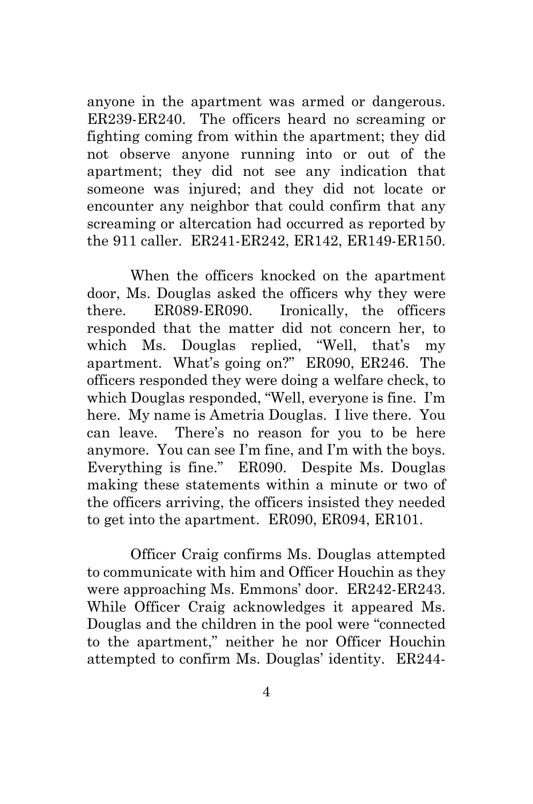anyone in the apartment was armed or dangerous. ER239-ER240. The officers heard no screaming or fighting coming from within the apartment; they did not observe anyone running into or out of the apartment; they did not see any indication that someone was injured; and they did not locate or encounter any neighbor that could confirm that any screaming or altercation had occurred as reported by the 911 caller. ER241-ER242, ER142, ER149-ER150.

When the officers knocked on the apartment door, Ms. Douglas asked the officers why they were there. ER089-ER090. Ironically, the officers responded that the matter did not concern her, to which Ms. Douglas replied, "Well, that's my apartment. What's going on?" ER090, ER246. The officers responded they were doing a welfare check, to which Douglas responded, "Well, everyone is fine. I'm here. My name is Ametria Douglas. I live there. You can leave. There's no reason for you to be here anymore. You can see I'm fine, and I'm with the boys. Everything is fine." ER090. Despite Ms. Douglas making these statements within a minute or two of the officers arriving, the officers insisted they needed to get into the apartment. ER090, ER094, ER101.

Officer Craig confirms Ms. Douglas attempted to communicate with him and Officer Houchin as they were approaching Ms. Emmons' door. ER242-ER243. While Officer Craig acknowledges it appeared Ms. Douglas and the children in the pool were "connected to the apartment," neither he nor Officer Houchin attempted to confirm Ms. Douglas' identity. ER244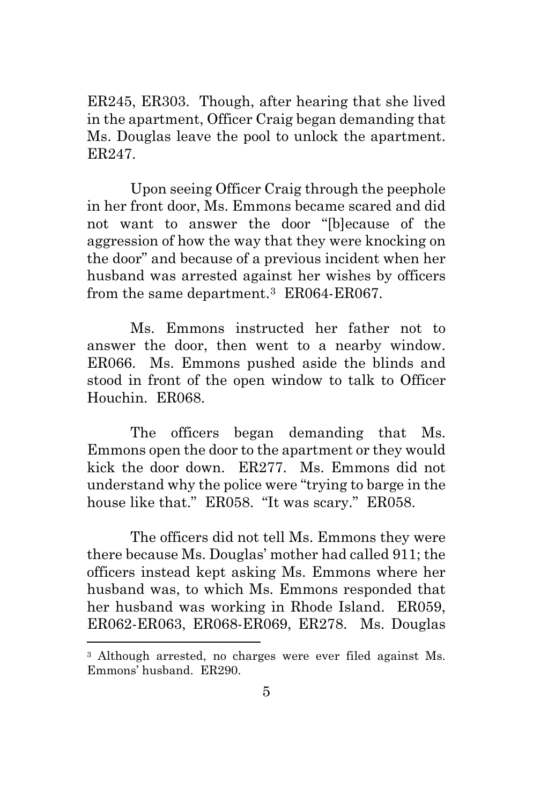ER245, ER303. Though, after hearing that she lived in the apartment, Officer Craig began demanding that Ms. Douglas leave the pool to unlock the apartment. ER247.

Upon seeing Officer Craig through the peephole in her front door, Ms. Emmons became scared and did not want to answer the door "[b]ecause of the aggression of how the way that they were knocking on the door" and because of a previous incident when her husband was arrested against her wishes by officers from the same department.<sup>[3](#page-9-0)</sup> ER064-ER067.

Ms. Emmons instructed her father not to answer the door, then went to a nearby window. ER066. Ms. Emmons pushed aside the blinds and stood in front of the open window to talk to Officer Houchin. ER068.

The officers began demanding that Ms. Emmons open the door to the apartment or they would kick the door down. ER277. Ms. Emmons did not understand why the police were "trying to barge in the house like that." ER058. "It was scary." ER058.

The officers did not tell Ms. Emmons they were there because Ms. Douglas' mother had called 911; the officers instead kept asking Ms. Emmons where her husband was, to which Ms. Emmons responded that her husband was working in Rhode Island. ER059, ER062-ER063, ER068-ER069, ER278. Ms. Douglas

 $\overline{\phantom{a}}$ 

<span id="page-9-0"></span><sup>3</sup> Although arrested, no charges were ever filed against Ms. Emmons' husband. ER290.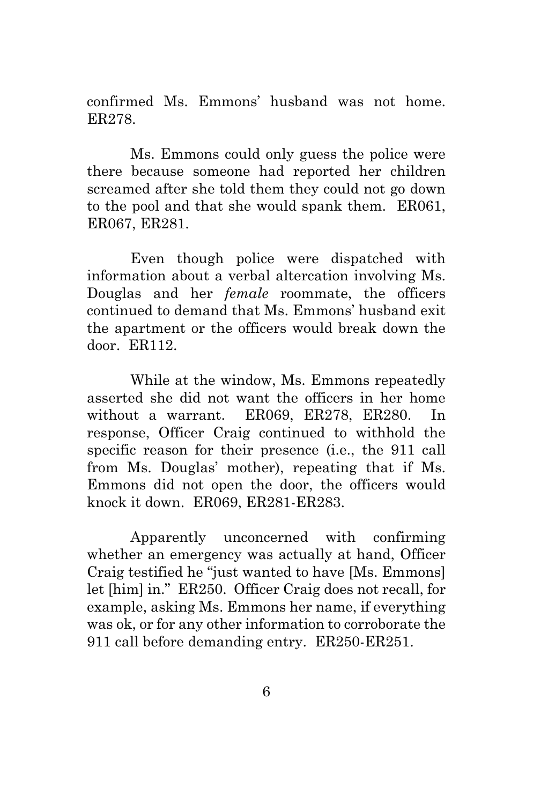confirmed Ms. Emmons' husband was not home. ER278.

Ms. Emmons could only guess the police were there because someone had reported her children screamed after she told them they could not go down to the pool and that she would spank them. ER061, ER067, ER281.

Even though police were dispatched with information about a verbal altercation involving Ms. Douglas and her *female* roommate, the officers continued to demand that Ms. Emmons' husband exit the apartment or the officers would break down the door. ER112.

While at the window, Ms. Emmons repeatedly asserted she did not want the officers in her home without a warrant. ER069, ER278, ER280. In response, Officer Craig continued to withhold the specific reason for their presence (i.e., the 911 call from Ms. Douglas' mother), repeating that if Ms. Emmons did not open the door, the officers would knock it down. ER069, ER281-ER283.

Apparently unconcerned with confirming whether an emergency was actually at hand, Officer Craig testified he "just wanted to have [Ms. Emmons] let [him] in." ER250. Officer Craig does not recall, for example, asking Ms. Emmons her name, if everything was ok, or for any other information to corroborate the 911 call before demanding entry. ER250-ER251.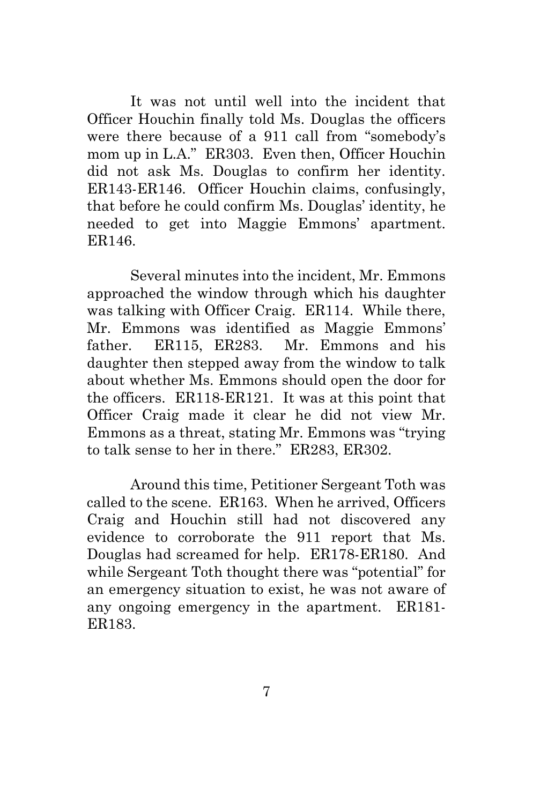It was not until well into the incident that Officer Houchin finally told Ms. Douglas the officers were there because of a 911 call from "somebody's mom up in L.A." ER303. Even then, Officer Houchin did not ask Ms. Douglas to confirm her identity. ER143-ER146. Officer Houchin claims, confusingly, that before he could confirm Ms. Douglas' identity, he needed to get into Maggie Emmons' apartment. ER146.

Several minutes into the incident, Mr. Emmons approached the window through which his daughter was talking with Officer Craig. ER114. While there, Mr. Emmons was identified as Maggie Emmons' father. ER115, ER283. Mr. Emmons and his daughter then stepped away from the window to talk about whether Ms. Emmons should open the door for the officers. ER118-ER121. It was at this point that Officer Craig made it clear he did not view Mr. Emmons as a threat, stating Mr. Emmons was "trying to talk sense to her in there." ER283, ER302.

Around this time, Petitioner Sergeant Toth was called to the scene. ER163. When he arrived, Officers Craig and Houchin still had not discovered any evidence to corroborate the 911 report that Ms. Douglas had screamed for help. ER178-ER180. And while Sergeant Toth thought there was "potential" for an emergency situation to exist, he was not aware of any ongoing emergency in the apartment. ER181- ER183.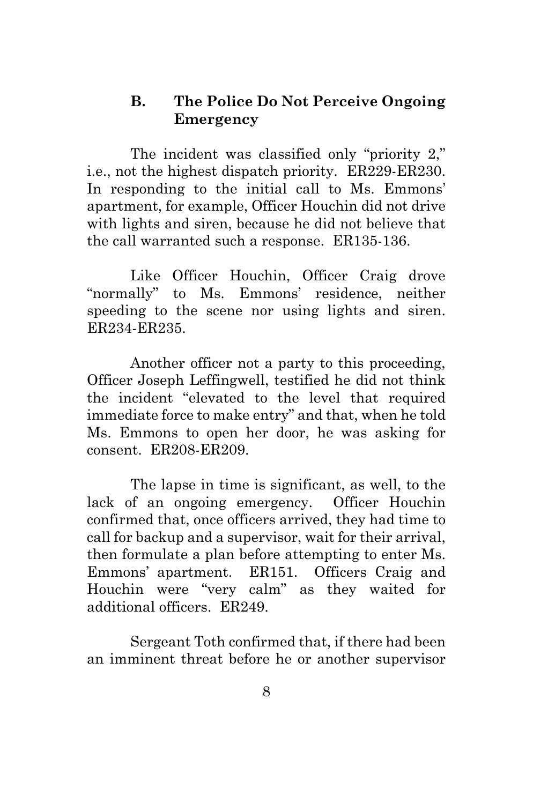### <span id="page-12-0"></span>**B. The Police Do Not Perceive Ongoing Emergency**

The incident was classified only "priority 2," i.e., not the highest dispatch priority. ER229-ER230. In responding to the initial call to Ms. Emmons' apartment, for example, Officer Houchin did not drive with lights and siren, because he did not believe that the call warranted such a response. ER135-136.

Like Officer Houchin, Officer Craig drove "normally" to Ms. Emmons' residence, neither speeding to the scene nor using lights and siren. ER234-ER235.

Another officer not a party to this proceeding, Officer Joseph Leffingwell, testified he did not think the incident "elevated to the level that required immediate force to make entry" and that, when he told Ms. Emmons to open her door, he was asking for consent. ER208-ER209.

The lapse in time is significant, as well, to the lack of an ongoing emergency. Officer Houchin confirmed that, once officers arrived, they had time to call for backup and a supervisor, wait for their arrival, then formulate a plan before attempting to enter Ms. Emmons' apartment. ER151. Officers Craig and Houchin were "very calm" as they waited for additional officers. ER249.

Sergeant Toth confirmed that, if there had been an imminent threat before he or another supervisor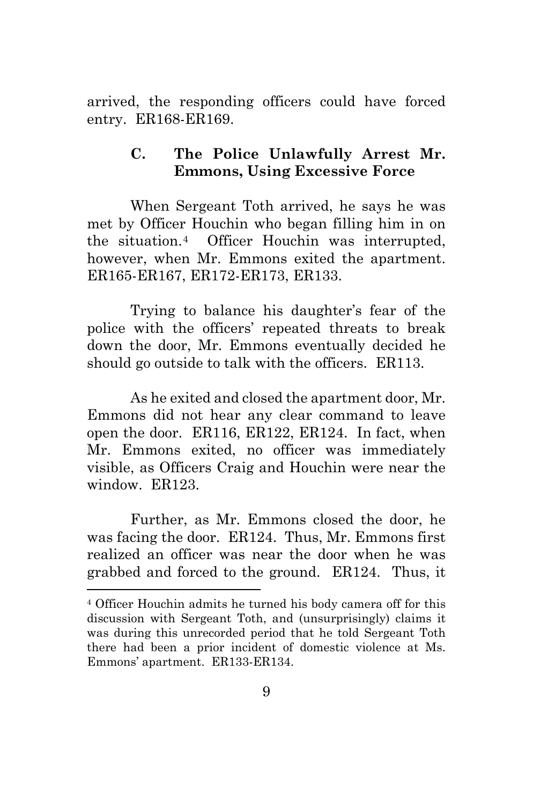arrived, the responding officers could have forced entry. ER168-ER169.

## <span id="page-13-0"></span>**C. The Police Unlawfully Arrest Mr. Emmons, Using Excessive Force**

When Sergeant Toth arrived, he says he was met by Officer Houchin who began filling him in on the situation.[4](#page-13-1) Officer Houchin was interrupted, however, when Mr. Emmons exited the apartment. ER165-ER167, ER172-ER173, ER133.

Trying to balance his daughter's fear of the police with the officers' repeated threats to break down the door, Mr. Emmons eventually decided he should go outside to talk with the officers. ER113.

As he exited and closed the apartment door, Mr. Emmons did not hear any clear command to leave open the door. ER116, ER122, ER124. In fact, when Mr. Emmons exited, no officer was immediately visible, as Officers Craig and Houchin were near the window. ER123.

Further, as Mr. Emmons closed the door, he was facing the door. ER124. Thus, Mr. Emmons first realized an officer was near the door when he was grabbed and forced to the ground. ER124. Thus, it

 $\overline{a}$ 

<span id="page-13-1"></span><sup>4</sup> Officer Houchin admits he turned his body camera off for this discussion with Sergeant Toth, and (unsurprisingly) claims it was during this unrecorded period that he told Sergeant Toth there had been a prior incident of domestic violence at Ms. Emmons' apartment. ER133-ER134.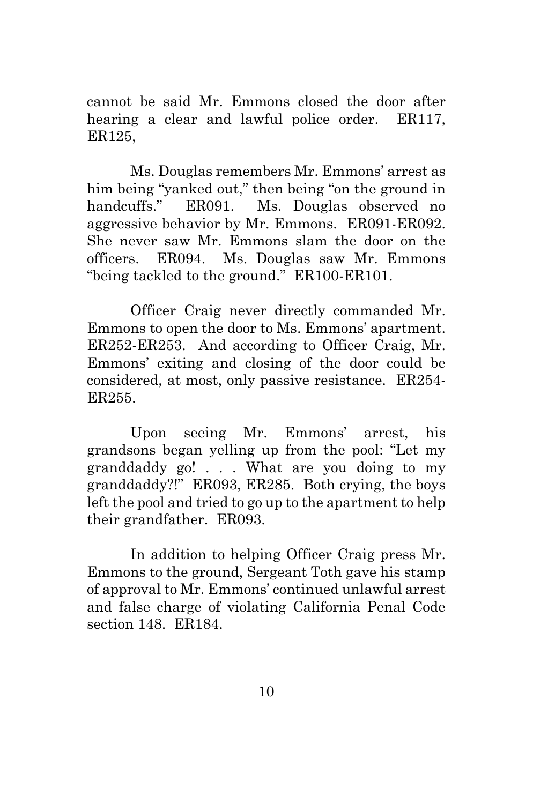cannot be said Mr. Emmons closed the door after hearing a clear and lawful police order. ER117, ER125,

Ms. Douglas remembers Mr. Emmons' arrest as him being "yanked out," then being "on the ground in handcuffs." ER091. Ms. Douglas observed no aggressive behavior by Mr. Emmons. ER091-ER092. She never saw Mr. Emmons slam the door on the officers. ER094. Ms. Douglas saw Mr. Emmons "being tackled to the ground." ER100-ER101.

Officer Craig never directly commanded Mr. Emmons to open the door to Ms. Emmons' apartment. ER252-ER253. And according to Officer Craig, Mr. Emmons' exiting and closing of the door could be considered, at most, only passive resistance. ER254- ER255.

Upon seeing Mr. Emmons' arrest, his grandsons began yelling up from the pool: "Let my granddaddy go! . . . What are you doing to my granddaddy?!" ER093, ER285. Both crying, the boys left the pool and tried to go up to the apartment to help their grandfather. ER093.

In addition to helping Officer Craig press Mr. Emmons to the ground, Sergeant Toth gave his stamp of approval to Mr. Emmons' continued unlawful arrest and false charge of violating California Penal Code section 148. ER184.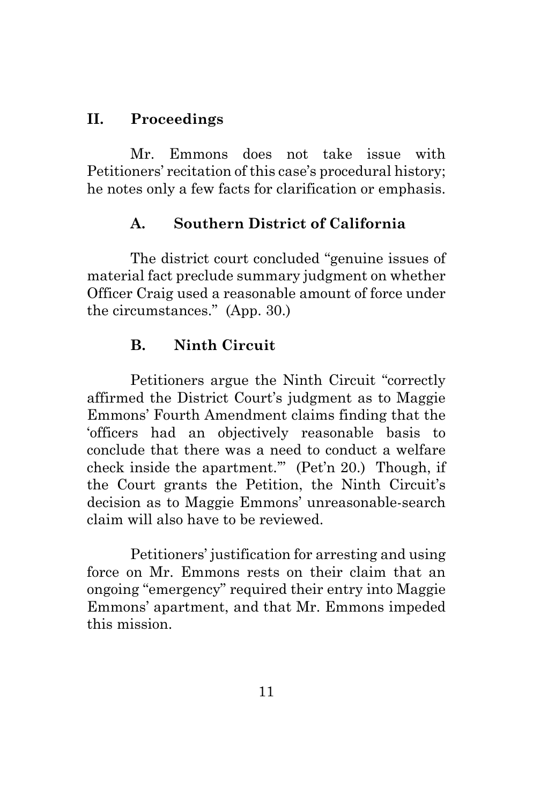# <span id="page-15-0"></span>**II. Proceedings**

Mr. Emmons does not take issue with Petitioners' recitation of this case's procedural history; he notes only a few facts for clarification or emphasis.

# <span id="page-15-1"></span>**A. Southern District of California**

The district court concluded "genuine issues of material fact preclude summary judgment on whether Officer Craig used a reasonable amount of force under the circumstances." (App. 30.)

# <span id="page-15-2"></span>**B. Ninth Circuit**

Petitioners argue the Ninth Circuit "correctly affirmed the District Court's judgment as to Maggie Emmons' Fourth Amendment claims finding that the 'officers had an objectively reasonable basis to conclude that there was a need to conduct a welfare check inside the apartment.'" (Pet'n 20.) Though, if the Court grants the Petition, the Ninth Circuit's decision as to Maggie Emmons' unreasonable-search claim will also have to be reviewed.

Petitioners' justification for arresting and using force on Mr. Emmons rests on their claim that an ongoing "emergency" required their entry into Maggie Emmons' apartment, and that Mr. Emmons impeded this mission.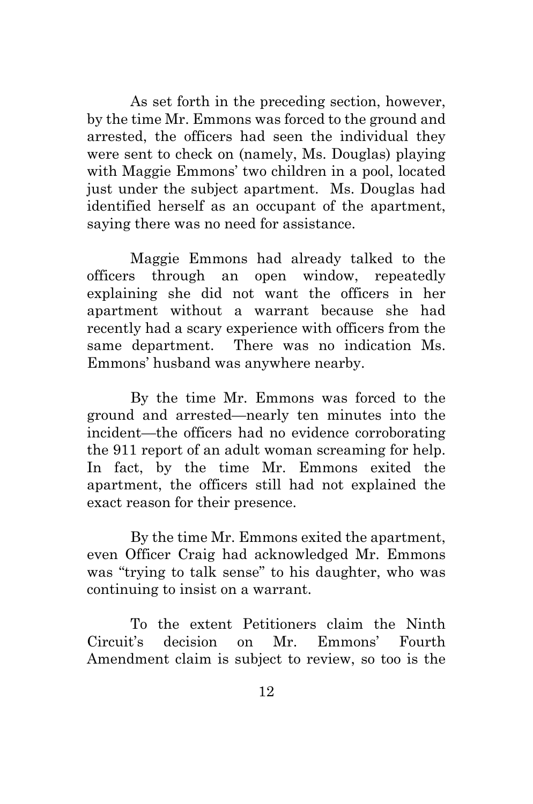As set forth in the preceding section, however, by the time Mr. Emmons was forced to the ground and arrested, the officers had seen the individual they were sent to check on (namely, Ms. Douglas) playing with Maggie Emmons' two children in a pool, located just under the subject apartment. Ms. Douglas had identified herself as an occupant of the apartment, saying there was no need for assistance.

Maggie Emmons had already talked to the officers through an open window, repeatedly explaining she did not want the officers in her apartment without a warrant because she had recently had a scary experience with officers from the same department. There was no indication Ms. Emmons' husband was anywhere nearby.

By the time Mr. Emmons was forced to the ground and arrested—nearly ten minutes into the incident—the officers had no evidence corroborating the 911 report of an adult woman screaming for help. In fact, by the time Mr. Emmons exited the apartment, the officers still had not explained the exact reason for their presence.

By the time Mr. Emmons exited the apartment, even Officer Craig had acknowledged Mr. Emmons was "trying to talk sense" to his daughter, who was continuing to insist on a warrant.

To the extent Petitioners claim the Ninth Circuit's decision on Mr. Emmons' Fourth Amendment claim is subject to review, so too is the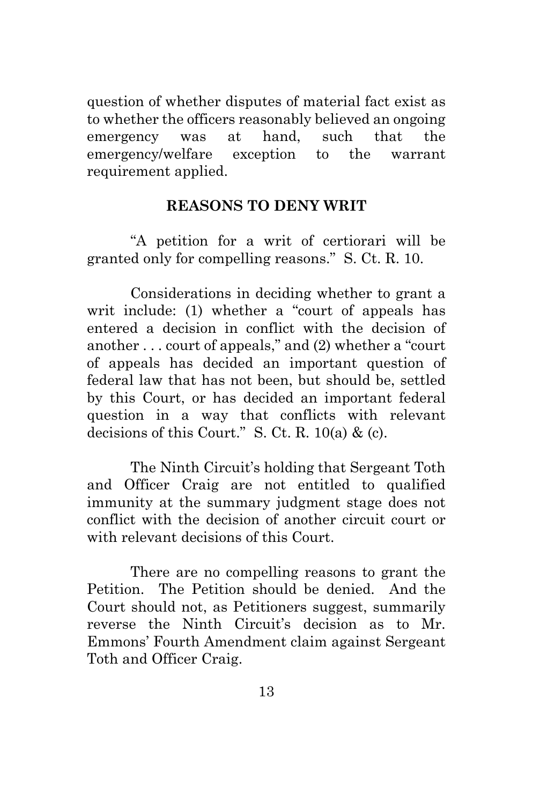question of whether disputes of material fact exist as to whether the officers reasonably believed an ongoing emergency was at hand, such that the emergency/welfare exception to the warrant requirement applied.

### **REASONS TO DENY WRIT**

<span id="page-17-0"></span>"A petition for a writ of certiorari will be granted only for compelling reasons." S. Ct. R. 10.

Considerations in deciding whether to grant a writ include: (1) whether a "court of appeals has entered a decision in conflict with the decision of another . . . court of appeals," and (2) whether a "court of appeals has decided an important question of federal law that has not been, but should be, settled by this Court, or has decided an important federal question in a way that conflicts with relevant decisions of this Court." S. Ct. R. 10(a) & (c).

The Ninth Circuit's holding that Sergeant Toth and Officer Craig are not entitled to qualified immunity at the summary judgment stage does not conflict with the decision of another circuit court or with relevant decisions of this Court.

There are no compelling reasons to grant the Petition. The Petition should be denied. And the Court should not, as Petitioners suggest, summarily reverse the Ninth Circuit's decision as to Mr. Emmons' Fourth Amendment claim against Sergeant Toth and Officer Craig.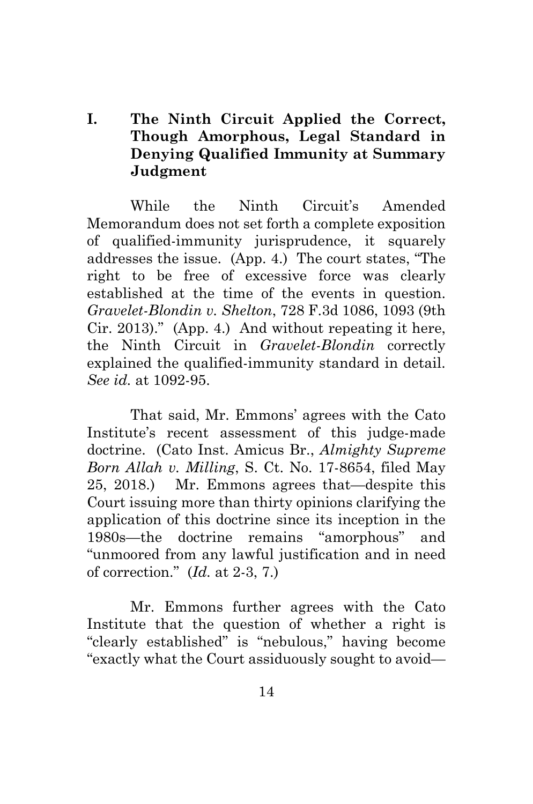# <span id="page-18-0"></span>**I. The Ninth Circuit Applied the Correct, Though Amorphous, Legal Standard in Denying Qualified Immunity at Summary Judgment**

While the Ninth Circuit's Amended Memorandum does not set forth a complete exposition of qualified-immunity jurisprudence, it squarely addresses the issue. (App. 4.) The court states, "The right to be free of excessive force was clearly established at the time of the events in question. *Gravelet-Blondin v. Shelton*, 728 F.3d 1086, 1093 (9th Cir. 2013)." (App. 4.) And without repeating it here, the Ninth Circuit in *Gravelet-Blondin* correctly explained the qualified-immunity standard in detail. *See id.* at 1092-95.

That said, Mr. Emmons' agrees with the Cato Institute's recent assessment of this judge-made doctrine. (Cato Inst. Amicus Br., *Almighty Supreme Born Allah v. Milling*, S. Ct. No. 17-8654, filed May 25, 2018.) Mr. Emmons agrees that—despite this Court issuing more than thirty opinions clarifying the application of this doctrine since its inception in the 1980s—the doctrine remains "amorphous" and "unmoored from any lawful justification and in need of correction." (*Id.* at 2-3, 7.)

Mr. Emmons further agrees with the Cato Institute that the question of whether a right is "clearly established" is "nebulous," having become "exactly what the Court assiduously sought to avoid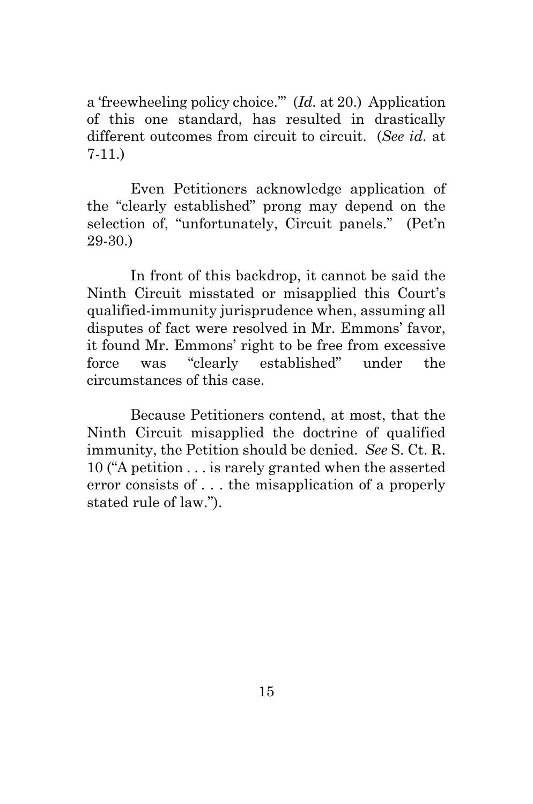a 'freewheeling policy choice.'" (*Id.* at 20.) Application of this one standard, has resulted in drastically different outcomes from circuit to circuit. (*See id.* at 7-11.)

Even Petitioners acknowledge application of the "clearly established" prong may depend on the selection of, "unfortunately, Circuit panels." (Pet'n 29-30.)

In front of this backdrop, it cannot be said the Ninth Circuit misstated or misapplied this Court's qualified-immunity jurisprudence when, assuming all disputes of fact were resolved in Mr. Emmons' favor, it found Mr. Emmons' right to be free from excessive force was "clearly established" under the circumstances of this case.

Because Petitioners contend, at most, that the Ninth Circuit misapplied the doctrine of qualified immunity, the Petition should be denied. *See* S. Ct. R. 10 ("A petition . . . is rarely granted when the asserted error consists of . . . the misapplication of a properly stated rule of law.").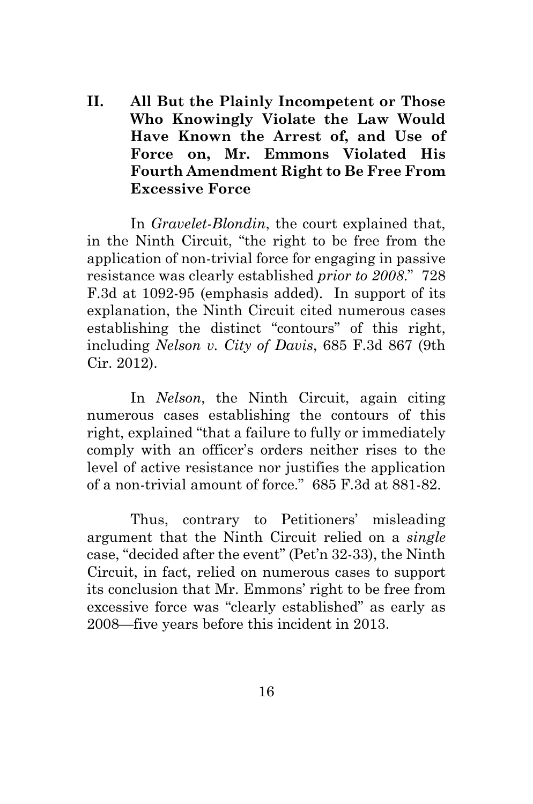<span id="page-20-0"></span>**II. All But the Plainly Incompetent or Those Who Knowingly Violate the Law Would Have Known the Arrest of, and Use of Force on, Mr. Emmons Violated His Fourth Amendment Right to Be Free From Excessive Force**

In *Gravelet-Blondin*, the court explained that, in the Ninth Circuit, "the right to be free from the application of non-trivial force for engaging in passive resistance was clearly established *prior to 2008*." 728 F.3d at 1092-95 (emphasis added). In support of its explanation, the Ninth Circuit cited numerous cases establishing the distinct "contours" of this right, including *Nelson v. City of Davis*, 685 F.3d 867 (9th Cir. 2012).

In *Nelson*, the Ninth Circuit, again citing numerous cases establishing the contours of this right, explained "that a failure to fully or immediately comply with an officer's orders neither rises to the level of active resistance nor justifies the application of a non-trivial amount of force." 685 F.3d at 881-82.

Thus, contrary to Petitioners' misleading argument that the Ninth Circuit relied on a *single* case, "decided after the event" (Pet'n 32-33), the Ninth Circuit, in fact, relied on numerous cases to support its conclusion that Mr. Emmons' right to be free from excessive force was "clearly established" as early as 2008—five years before this incident in 2013.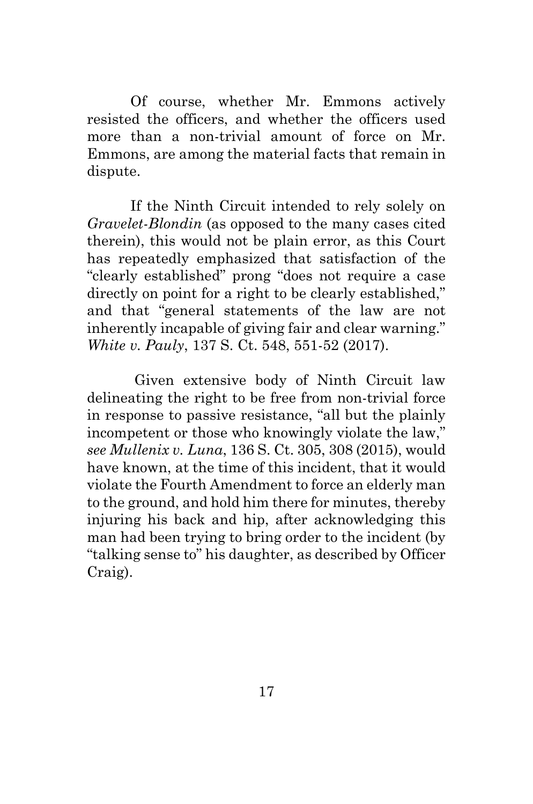Of course, whether Mr. Emmons actively resisted the officers, and whether the officers used more than a non-trivial amount of force on Mr. Emmons, are among the material facts that remain in dispute.

If the Ninth Circuit intended to rely solely on *Gravelet-Blondin* (as opposed to the many cases cited therein), this would not be plain error, as this Court has repeatedly emphasized that satisfaction of the "clearly established" prong "does not require a case directly on point for a right to be clearly established," and that "general statements of the law are not inherently incapable of giving fair and clear warning." *White v. Pauly*, 137 S. Ct. 548, 551-52 (2017).

Given extensive body of Ninth Circuit law delineating the right to be free from non-trivial force in response to passive resistance, "all but the plainly incompetent or those who knowingly violate the law," *see Mullenix v. Luna*, 136 S. Ct. 305, 308 (2015), would have known, at the time of this incident, that it would violate the Fourth Amendment to force an elderly man to the ground, and hold him there for minutes, thereby injuring his back and hip, after acknowledging this man had been trying to bring order to the incident (by "talking sense to" his daughter, as described by Officer Craig).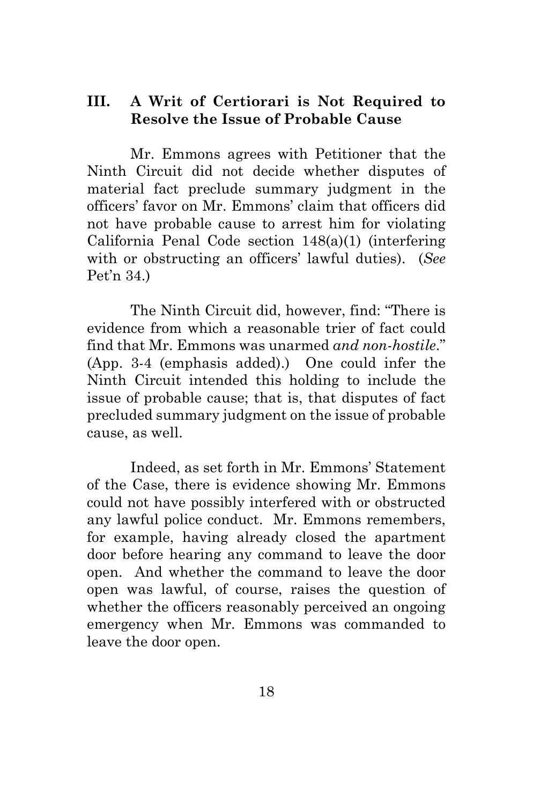### <span id="page-22-0"></span>**III. A Writ of Certiorari is Not Required to Resolve the Issue of Probable Cause**

Mr. Emmons agrees with Petitioner that the Ninth Circuit did not decide whether disputes of material fact preclude summary judgment in the officers' favor on Mr. Emmons' claim that officers did not have probable cause to arrest him for violating California Penal Code section 148(a)(1) (interfering with or obstructing an officers' lawful duties). (*See* Pet'n 34.)

The Ninth Circuit did, however, find: "There is evidence from which a reasonable trier of fact could find that Mr. Emmons was unarmed *and non-hostile*." (App. 3-4 (emphasis added).) One could infer the Ninth Circuit intended this holding to include the issue of probable cause; that is, that disputes of fact precluded summary judgment on the issue of probable cause, as well.

Indeed, as set forth in Mr. Emmons' Statement of the Case, there is evidence showing Mr. Emmons could not have possibly interfered with or obstructed any lawful police conduct. Mr. Emmons remembers, for example, having already closed the apartment door before hearing any command to leave the door open. And whether the command to leave the door open was lawful, of course, raises the question of whether the officers reasonably perceived an ongoing emergency when Mr. Emmons was commanded to leave the door open.